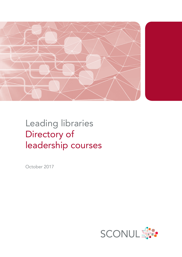

# Leading libraries Directory of leadership courses

October 2017

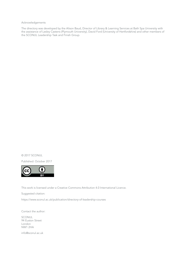Acknowledgements

The directory was developed by the Alison Baud, Director of Library & Learning Services at Bath Spa University with the assistance of Lesley Castens (Plymouth University), David Ford (University of Hertfordshire) and other members of the SCONUL Leadership Task and Finish Group.

© 2017 SCONUL

Published: October 2017



This work is licensed under a Creative Commons Attribution 4.0 International Licence.

Suggested citation:

<https://www.sconul.ac.uk/publication/directory-of-leadership-courses>

Contact the author:

SCONUL 94 Euston Street London NW1 2HA

[info@sconul.ac.uk](mailto:info%40sconul.ac.uk?subject=)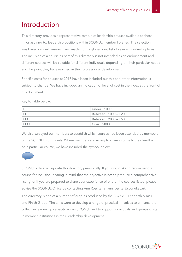#### Introduction

This directory provides a representative sample of leadership courses available to those in, or aspiring to, leadership positions within SCONUL member libraries. The selection was based on desk research and made from a global long list of several hundred options. The inclusion of a course as part of this directory is not intended as an endorsement and different courses will be suitable for different individuals depending on their particular needs and the point they have reached in their professional development.

Specific costs for courses at 2017 have been included but this and other information is subject to change. We have included an indication of level of cost in the index at the front of this document.

Key to table below:

|      | Under £1000           |
|------|-----------------------|
|      | Between £1000 - £2000 |
| fff  | Between £2000 - £5000 |
| ffff | <b>Over £5000</b>     |

We also surveyed our members to establish which courses had been attended by members of the SCONUL community. Where members are willing to share informally their feedback on a particular course, we have included the symbol below:



SCONUL office will update this directory periodically. If you would like to recommend a course for inclusion (bearing in mind that the objective is not to produce a comprehensive listing) or if you are prepared to share your experience of one of the courses listed, please advise the SCONUL Office by contacting Ann Rossiter at ann.rossiter@sconul.ac.uk.

The directory is one of a number of outputs produced by the SCONUL Leadership Task and Finish Group. The aims were to develop a range of practical initiatives to enhance the collective leadership capacity across SCONUL and to support individuals and groups of staff in member institutions in their leadership development.

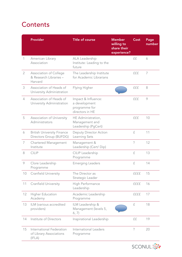### **Contents**

|                | <b>Provider</b>                                               | <b>Title of course</b>                                                   | <b>Member</b><br>willing to<br>share their<br>experience? | Cost        | Page<br>number |
|----------------|---------------------------------------------------------------|--------------------------------------------------------------------------|-----------------------------------------------------------|-------------|----------------|
| 1              | American Library<br>Association                               | ALA Leadership<br>Institute: Leading to the<br>future                    |                                                           | ££          | 6              |
| $\overline{2}$ | Association of College<br>& Research Libraries -<br>Harvard   | The Leadership Institute<br>for Academic Librarians                      |                                                           | fff         | 7              |
| 3              | Association of Heads of<br>University Administration          | Flying Higher                                                            |                                                           | fff         | 8              |
| $\overline{4}$ | Association of Heads of<br>University Administration          | Impact & Influence:<br>a development<br>programme for<br>directors in HE |                                                           | fff         | 9              |
| 5              | Association of University<br>Administrators                   | HE Administration,<br>Management and<br>Leadership (PgCert)              |                                                           | fff         | 10             |
| 6              | <b>British University Finance</b><br>Directors Group (BUFDG)  | Deputy Director Action<br>Learning Sets                                  |                                                           | £           | 11             |
| 7              | Chartered Management<br>Institute                             | Management &<br>Leadership (Cert/Dip)                                    |                                                           | $\gamma$    | 12             |
| 8              | <b>CILIP</b>                                                  | CILIP Leadership<br>Programme                                            |                                                           | £           | 13             |
| 9              | Clore Leadership<br>Programme                                 | <b>Emerging Leaders</b>                                                  |                                                           | £           | 14             |
| 10             | <b>Cranfield University</b>                                   | The Director as<br>Strategic Leader                                      |                                                           | ffff        | 15             |
| 11             | <b>Cranfield University</b>                                   | High Performance<br>Leadership                                           |                                                           | ffff        | 16             |
| 12             | <b>Higher Education</b><br>Academy                            | Academic Leadership<br>Programme                                         |                                                           | ffff        | 17             |
| 13             | ILM (various accredited<br>providers)                         | ILM Leadership &<br>Management (levels 5,<br>6, 7)                       |                                                           | £           | 18             |
| 14             | Institute of Directors                                        | Inspirational Leadership                                                 |                                                           | ££          | 19             |
| 15             | International Federation<br>of Library Associations<br>(IFLA) | International Leaders<br>Programme                                       |                                                           | $\tilde{?}$ | 20             |

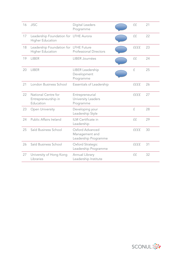| 16 | <b>JISC</b>                                                      | Digital Leaders<br>Programme                              | ££            | 21 |
|----|------------------------------------------------------------------|-----------------------------------------------------------|---------------|----|
| 17 | Leadership Foundation for LFHE Aurora<br><b>Higher Education</b> |                                                           | ££            | 22 |
| 18 | Leadership Foundation for LFHE Future<br><b>Higher Education</b> | <b>Professional Directors</b>                             | ffff          | 23 |
| 19 | <b>LIBER</b>                                                     | LIBER Journées                                            | ££            | 24 |
| 20 | <b>LIBER</b>                                                     | LIBER Leadership<br>Development<br>Programme              | £             | 25 |
| 21 | London Business School                                           | Essentials of Leadership                                  | ffff          | 26 |
| 22 | National Centre for<br>Entrepreneurship in<br>Education          | Entrepreneurial<br>University Leaders<br>Programme        | ffff          | 27 |
| 23 | Open University                                                  | Developing your<br>Leadership Style                       | $\mathcal{F}$ | 28 |
| 24 | Public Affairs Ireland                                           | ILM Certificate in<br>Leadership                          | ££            | 29 |
| 25 | Saïd Business School                                             | Oxford Advanced<br>Management and<br>Leadership Programme | ffff          | 30 |
| 26 | Saïd Business School                                             | Oxford Strategic<br>Leadership Programme                  | ffff          | 31 |
| 27 | University of Hong Kong<br>Libraries                             | Annual Library<br>Leadership Institute                    | ££            | 32 |

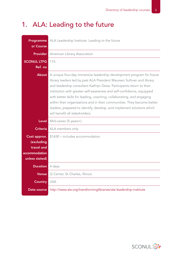### 1. ALA: Leading to the future

| Programme<br>or Course                                                      | ALA Leadership Institute: Leading to the future                                                                                                                                                                                                                                                                                                                                                                                                                                                                                                                  |
|-----------------------------------------------------------------------------|------------------------------------------------------------------------------------------------------------------------------------------------------------------------------------------------------------------------------------------------------------------------------------------------------------------------------------------------------------------------------------------------------------------------------------------------------------------------------------------------------------------------------------------------------------------|
| <b>Provider</b>                                                             | American Library Association                                                                                                                                                                                                                                                                                                                                                                                                                                                                                                                                     |
| <b>SCONUL LTFG</b><br>Ref. no                                               | 115                                                                                                                                                                                                                                                                                                                                                                                                                                                                                                                                                              |
| <b>About</b>                                                                | A unique four-day immersive leadership development program for future<br>library leaders led by past ALA President Maureen Sullivan and library<br>and leadership consultant Kathryn Deiss. Participants return to their<br>institution with greater self-awareness and self-confidence, equipped<br>with better skills for leading, coaching, collaborating, and engaging<br>within their organisations and in their communities. They become better<br>leaders, prepared to identify, develop, and implement solutions which<br>will benefit all stakeholders. |
| <b>Level</b>                                                                | Mid-career (5 years+)                                                                                                                                                                                                                                                                                                                                                                                                                                                                                                                                            |
| <b>Criteria</b>                                                             | ALA members only                                                                                                                                                                                                                                                                                                                                                                                                                                                                                                                                                 |
| Cost approx.<br>(excluding<br>travel and<br>accommodation<br>unless stated) | \$1650 - includes accommodation                                                                                                                                                                                                                                                                                                                                                                                                                                                                                                                                  |
| <b>Duration</b>                                                             | 4 days                                                                                                                                                                                                                                                                                                                                                                                                                                                                                                                                                           |
| <b>Venue</b>                                                                | Q Center, St Charles, Illinois                                                                                                                                                                                                                                                                                                                                                                                                                                                                                                                                   |
| <b>Country</b>                                                              | <b>USA</b>                                                                                                                                                                                                                                                                                                                                                                                                                                                                                                                                                       |
| Data source                                                                 | http://www.ala.org/transforminglibraries/ala-leadership-institute                                                                                                                                                                                                                                                                                                                                                                                                                                                                                                |

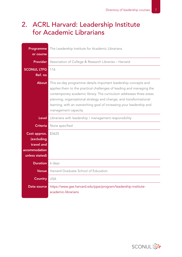#### 2. ACRL Harvard: Leadership Institute for Academic Librarians

| Programme                       | The Leadership Institute for Academic Librarians                                                                                                                                                                                                                                                                                                                                       |
|---------------------------------|----------------------------------------------------------------------------------------------------------------------------------------------------------------------------------------------------------------------------------------------------------------------------------------------------------------------------------------------------------------------------------------|
| or course                       |                                                                                                                                                                                                                                                                                                                                                                                        |
| <b>Provider</b>                 | Association of College & Research Libraries - Harvard                                                                                                                                                                                                                                                                                                                                  |
| <b>SCONUL LTFG</b>              | 116                                                                                                                                                                                                                                                                                                                                                                                    |
| Ref. no                         |                                                                                                                                                                                                                                                                                                                                                                                        |
| <b>About</b>                    | This six-day programme details important leadership concepts and<br>applies them to the practical challenges of leading and managing the<br>contemporary academic library. The curriculum addresses three areas:<br>planning; organisational strategy and change; and transformational<br>learning, with an overarching goal of increasing your leadership and<br>management capacity. |
| Level                           | Librarians with leadership / management responsibility                                                                                                                                                                                                                                                                                                                                 |
| <b>Criteria</b>                 | None specified                                                                                                                                                                                                                                                                                                                                                                         |
| Cost approx.                    | \$3625                                                                                                                                                                                                                                                                                                                                                                                 |
| (excluding                      |                                                                                                                                                                                                                                                                                                                                                                                        |
| travel and                      |                                                                                                                                                                                                                                                                                                                                                                                        |
| accommodation<br>unless stated) |                                                                                                                                                                                                                                                                                                                                                                                        |
|                                 |                                                                                                                                                                                                                                                                                                                                                                                        |
| <b>Duration</b>                 | 6 days                                                                                                                                                                                                                                                                                                                                                                                 |
| <b>Venue</b>                    | Harvard Graduate School of Education                                                                                                                                                                                                                                                                                                                                                   |
| <b>Country USA</b>              |                                                                                                                                                                                                                                                                                                                                                                                        |
| Data source                     | https://www.gse.harvard.edu/ppe/program/leadership-institute-<br>academic-librarians                                                                                                                                                                                                                                                                                                   |

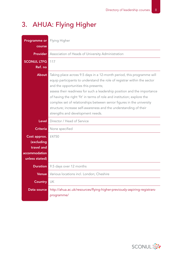### 3. AHUA: Flying Higher

| <b>Programme or</b> Flying Higher<br>course                                 |                                                                                                                                                                                                                                                                                                                                                                                                                                                                                                                                     |
|-----------------------------------------------------------------------------|-------------------------------------------------------------------------------------------------------------------------------------------------------------------------------------------------------------------------------------------------------------------------------------------------------------------------------------------------------------------------------------------------------------------------------------------------------------------------------------------------------------------------------------|
| <b>Provider</b>                                                             | Association of Heads of University Administration                                                                                                                                                                                                                                                                                                                                                                                                                                                                                   |
| <b>SCONUL LTFG</b><br>Ref. no                                               | 117                                                                                                                                                                                                                                                                                                                                                                                                                                                                                                                                 |
| About                                                                       | Taking place across 9.5 days in a 12-month period, this programme will<br>equip participants to understand the role of registrar within the sector<br>and the opportunities this presents;<br>assess their readiness for such a leadership position and the importance<br>of having the right 'fit' in terms of role and institution; explore the<br>complex set of relationships between senior figures in the university<br>structure; increase self-awareness and the understanding of their<br>strengths and development needs. |
| Level                                                                       | Director / Head of Service                                                                                                                                                                                                                                                                                                                                                                                                                                                                                                          |
| <b>Criteria</b>                                                             | None specified                                                                                                                                                                                                                                                                                                                                                                                                                                                                                                                      |
| Cost approx.<br>(excluding<br>travel and<br>accommodation<br>unless stated) | £4750                                                                                                                                                                                                                                                                                                                                                                                                                                                                                                                               |
| <b>Duration</b>                                                             | 9.5 days over 12 months                                                                                                                                                                                                                                                                                                                                                                                                                                                                                                             |
| Venue                                                                       | Various locations incl. London; Cheshire                                                                                                                                                                                                                                                                                                                                                                                                                                                                                            |
| <b>Country</b>                                                              | UK                                                                                                                                                                                                                                                                                                                                                                                                                                                                                                                                  |
| Data source                                                                 | http://ahua.ac.uk/resources/flying-higher-previously-aspiring-registrars-<br>programme/                                                                                                                                                                                                                                                                                                                                                                                                                                             |

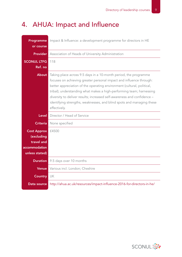### 4. AHUA: Impact and Influence

| Programme<br>or course                                                            | Impact & Influence: a development programme for directors in HE                                                                                                                                                                                                                                                                                                                                                                                               |
|-----------------------------------------------------------------------------------|---------------------------------------------------------------------------------------------------------------------------------------------------------------------------------------------------------------------------------------------------------------------------------------------------------------------------------------------------------------------------------------------------------------------------------------------------------------|
| <b>Provider</b>                                                                   | Association of Heads of University Administration                                                                                                                                                                                                                                                                                                                                                                                                             |
| <b>SCONUL LTFG</b><br>Ref. no                                                     | 118                                                                                                                                                                                                                                                                                                                                                                                                                                                           |
| About                                                                             | Taking place across 9.5 days in a 10-month period, the programme<br>focuses on achieving greater personal impact and influence through:<br>better appreciation of the operating environment (cultural, political,<br>tribal); understanding what makes a high-performing team; harnessing<br>diversity to deliver results; increased self-awareness and confidence -<br>identifying strengths, weaknesses, and blind spots and managing these<br>effectively. |
| Level                                                                             | Director / Head of Service                                                                                                                                                                                                                                                                                                                                                                                                                                    |
| <b>Criteria</b>                                                                   | None specified                                                                                                                                                                                                                                                                                                                                                                                                                                                |
|                                                                                   |                                                                                                                                                                                                                                                                                                                                                                                                                                                               |
| <b>Cost Approx</b><br>(excluding<br>travel and<br>accommodation<br>unless stated) | £4500                                                                                                                                                                                                                                                                                                                                                                                                                                                         |
| <b>Duration</b>                                                                   | 9.5 days over 10 months                                                                                                                                                                                                                                                                                                                                                                                                                                       |
| <b>Venue</b>                                                                      | Various incl. London; Cheshire                                                                                                                                                                                                                                                                                                                                                                                                                                |
| <b>Country</b>                                                                    | UK                                                                                                                                                                                                                                                                                                                                                                                                                                                            |

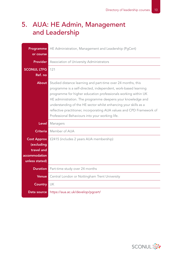#### 5. AUA: HE Admin, Management and Leadership

| Programme                                                                         | HE Administration, Management and Leadership (PgCert)                                                                                                                                                                                                                                                                                                                                                                                                            |
|-----------------------------------------------------------------------------------|------------------------------------------------------------------------------------------------------------------------------------------------------------------------------------------------------------------------------------------------------------------------------------------------------------------------------------------------------------------------------------------------------------------------------------------------------------------|
| or course                                                                         |                                                                                                                                                                                                                                                                                                                                                                                                                                                                  |
| <b>Provider</b>                                                                   | Association of University Administrators                                                                                                                                                                                                                                                                                                                                                                                                                         |
| <b>SCONUL LTFG</b>                                                                | 121                                                                                                                                                                                                                                                                                                                                                                                                                                                              |
| Ref. no                                                                           |                                                                                                                                                                                                                                                                                                                                                                                                                                                                  |
| <b>About</b>                                                                      | Studied distance learning and part-time over 24 months, this<br>programme is a self-directed, independent, work-based learning<br>programme for higher education professionals working within UK<br>HE administration. The programme deepens your knowledge and<br>understanding of the HE sector whilst enhancing your skills as a<br>reflective practitioner, incorporating AUA values and CPD Framework of<br>Professional Behaviours into your working life. |
| Level                                                                             | Managers                                                                                                                                                                                                                                                                                                                                                                                                                                                         |
|                                                                                   |                                                                                                                                                                                                                                                                                                                                                                                                                                                                  |
| <b>Criteria</b>                                                                   | Member of AUA                                                                                                                                                                                                                                                                                                                                                                                                                                                    |
| <b>Cost Approx</b><br>(excluding<br>travel and<br>accommodation<br>unless stated) | £2415 (includes 2 years AUA membership)                                                                                                                                                                                                                                                                                                                                                                                                                          |
| <b>Duration</b>                                                                   | Part-time study over 24 months                                                                                                                                                                                                                                                                                                                                                                                                                                   |
| <b>Venue</b>                                                                      | Central London or Nottingham Trent University                                                                                                                                                                                                                                                                                                                                                                                                                    |
| <b>Country</b>                                                                    | UK                                                                                                                                                                                                                                                                                                                                                                                                                                                               |

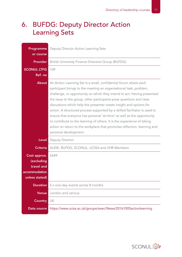### 6. BUFDG: Deputy Director Action Learning Sets

| Programme<br>or course                                                      | Deputy Director Action Learning Sets                                                                                                                                                                                                                                                                                                                                                                                                                                                                                                                                                                                                                                                                     |
|-----------------------------------------------------------------------------|----------------------------------------------------------------------------------------------------------------------------------------------------------------------------------------------------------------------------------------------------------------------------------------------------------------------------------------------------------------------------------------------------------------------------------------------------------------------------------------------------------------------------------------------------------------------------------------------------------------------------------------------------------------------------------------------------------|
| <b>Provider</b>                                                             | British University Finance Directors Group (BUFDG)                                                                                                                                                                                                                                                                                                                                                                                                                                                                                                                                                                                                                                                       |
| <b>SCONUL LTFG</b><br>Ref. no                                               | 109                                                                                                                                                                                                                                                                                                                                                                                                                                                                                                                                                                                                                                                                                                      |
| <b>About</b>                                                                | An Action Learning Set is a small, confidential forum where each<br>participant brings to the meeting an organisational task, problem,<br>challenge, or opportunity on which they intend to act. Having presented<br>the issue to the group, other participants pose questions and raise<br>discussions which help the presenter create insight and options for<br>action. A structured process supported by a skilled facilitator is used to<br>ensure that everyone has personal 'air-time' as well as the opportunity<br>to contribute to the learning of others. It is the experience of taking<br>action on return to the workplace that promotes reflection, learning and<br>personal development. |
| Level                                                                       | Deputy Director                                                                                                                                                                                                                                                                                                                                                                                                                                                                                                                                                                                                                                                                                          |
| <b>Criteria</b>                                                             | AUDE, BUFDG, SCONUL, UCISA and UHR Members                                                                                                                                                                                                                                                                                                                                                                                                                                                                                                                                                                                                                                                               |
| Cost approx.<br>(excluding<br>travel and<br>accommodation<br>unless stated) | £649                                                                                                                                                                                                                                                                                                                                                                                                                                                                                                                                                                                                                                                                                                     |
| <b>Duration</b>                                                             | 5 x one-day events across 8 months                                                                                                                                                                                                                                                                                                                                                                                                                                                                                                                                                                                                                                                                       |
| <b>Venue</b>                                                                | London and various                                                                                                                                                                                                                                                                                                                                                                                                                                                                                                                                                                                                                                                                                       |
| <b>Country</b>                                                              | UK                                                                                                                                                                                                                                                                                                                                                                                                                                                                                                                                                                                                                                                                                                       |
| Data source                                                                 | https://www.ucisa.ac.uk/groups/exec/News/20161005actionlearning                                                                                                                                                                                                                                                                                                                                                                                                                                                                                                                                                                                                                                          |

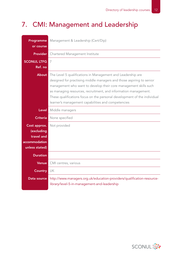### 7. CMI: Management and Leadership

| Programme<br>or course                                                      | Management & Leadership (Cert/Dip)                                                                                                                                                                                                                                                                                                                                                                           |
|-----------------------------------------------------------------------------|--------------------------------------------------------------------------------------------------------------------------------------------------------------------------------------------------------------------------------------------------------------------------------------------------------------------------------------------------------------------------------------------------------------|
| <b>Provider</b>                                                             | Chartered Management Institute                                                                                                                                                                                                                                                                                                                                                                               |
| <b>SCONUL LTFG</b><br>Ref. no                                               | 7                                                                                                                                                                                                                                                                                                                                                                                                            |
| <b>About</b>                                                                | The Level 5 qualifications in Management and Leadership are<br>designed for practising middle managers and those aspiring to senior<br>management who want to develop their core management skills such<br>as managing resources, recruitment, and information management.<br>These qualifications focus on the personal development of the individual<br>learner's management capabilities and competencies |
| <b>Level</b>                                                                | Middle managers                                                                                                                                                                                                                                                                                                                                                                                              |
| <b>Criteria</b>                                                             | None specified                                                                                                                                                                                                                                                                                                                                                                                               |
| Cost approx.<br>(excluding<br>travel and<br>accommodation<br>unless stated) | Not provided                                                                                                                                                                                                                                                                                                                                                                                                 |
| <b>Duration</b>                                                             |                                                                                                                                                                                                                                                                                                                                                                                                              |
| <b>Venue</b>                                                                | CMI centres, various                                                                                                                                                                                                                                                                                                                                                                                         |
| <b>Country</b>                                                              | UK                                                                                                                                                                                                                                                                                                                                                                                                           |
| Data source                                                                 | http://www.managers.org.uk/education-providers/qualification-resource-<br>library/level-5-in-management-and-leadership                                                                                                                                                                                                                                                                                       |

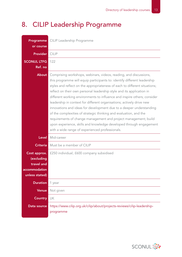### 8. CILIP Leadership Programme

| Programme<br>or course                                                      | CILIP Leadership Programme                                                                                                                                                                                                                                                                                                                                                                                                                                                                                                                                                                                                                                                                                                                                                                        |
|-----------------------------------------------------------------------------|---------------------------------------------------------------------------------------------------------------------------------------------------------------------------------------------------------------------------------------------------------------------------------------------------------------------------------------------------------------------------------------------------------------------------------------------------------------------------------------------------------------------------------------------------------------------------------------------------------------------------------------------------------------------------------------------------------------------------------------------------------------------------------------------------|
| <b>Provider</b>                                                             | <b>CILIP</b>                                                                                                                                                                                                                                                                                                                                                                                                                                                                                                                                                                                                                                                                                                                                                                                      |
| <b>SCONUL LTFG</b><br>Ref. no                                               | 122                                                                                                                                                                                                                                                                                                                                                                                                                                                                                                                                                                                                                                                                                                                                                                                               |
| About                                                                       | Comprising workshops, webinars, videos, reading, and discussions,<br>this programme will equip participants to: identify different leadership<br>styles and reflect on the appropriateness of each to different situations;<br>reflect on their own personal leadership style and its application in<br>different working environments to influence and inspire others; consider<br>leadership in context for different organisations; actively drive new<br>innovations and ideas for development due to a deeper understanding<br>of the complexities of strategic thinking and evaluation, and the<br>requirements of change management and project management; build<br>upon experience, skills and knowledge developed through engagement<br>with a wide range of experienced professionals. |
| <b>Level</b>                                                                | Mid-career                                                                                                                                                                                                                                                                                                                                                                                                                                                                                                                                                                                                                                                                                                                                                                                        |
| <b>Criteria</b>                                                             | Must be a member of CILIP                                                                                                                                                                                                                                                                                                                                                                                                                                                                                                                                                                                                                                                                                                                                                                         |
| Cost approx.<br>(excluding<br>travel and<br>accommodation<br>unless stated) | £250 individual; £600 company subsidised                                                                                                                                                                                                                                                                                                                                                                                                                                                                                                                                                                                                                                                                                                                                                          |
| <b>Duration</b>                                                             | 1 year                                                                                                                                                                                                                                                                                                                                                                                                                                                                                                                                                                                                                                                                                                                                                                                            |
| <b>Venue</b>                                                                | Not given                                                                                                                                                                                                                                                                                                                                                                                                                                                                                                                                                                                                                                                                                                                                                                                         |
| <b>Country</b>                                                              | UK                                                                                                                                                                                                                                                                                                                                                                                                                                                                                                                                                                                                                                                                                                                                                                                                |
| Data source                                                                 | https://www.cilip.org.uk/cilip/about/projects-reviews/cilip-leadership-<br>programme                                                                                                                                                                                                                                                                                                                                                                                                                                                                                                                                                                                                                                                                                                              |

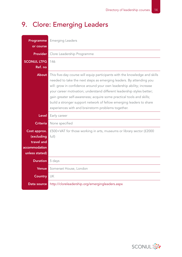### 9. Clore: Emerging Leaders

| Programme<br>or course                                                      | <b>Emerging Leaders</b>                                                                                                                                                                                                                                                                                                                                                                                                                                                                                     |
|-----------------------------------------------------------------------------|-------------------------------------------------------------------------------------------------------------------------------------------------------------------------------------------------------------------------------------------------------------------------------------------------------------------------------------------------------------------------------------------------------------------------------------------------------------------------------------------------------------|
| <b>Provider</b>                                                             | Clore Leadership Programme                                                                                                                                                                                                                                                                                                                                                                                                                                                                                  |
| <b>SCONUL LTFG</b><br>Ref. no                                               | 146                                                                                                                                                                                                                                                                                                                                                                                                                                                                                                         |
| About                                                                       | This five-day course will equip participants with the knowledge and skills<br>needed to take the next steps as emerging leaders. By attending you<br>will: grow in confidence around your own leadership ability; increase<br>your career motivation; understand different leadership styles better;<br>gain greater self-awareness; acquire some practical tools and skills;<br>build a stronger support network of fellow emerging leaders to share<br>experiences with and brainstorm problems together. |
| Level                                                                       | Early career                                                                                                                                                                                                                                                                                                                                                                                                                                                                                                |
| <b>Criteria</b>                                                             | None specified                                                                                                                                                                                                                                                                                                                                                                                                                                                                                              |
|                                                                             |                                                                                                                                                                                                                                                                                                                                                                                                                                                                                                             |
| Cost approx.<br>(excluding<br>travel and<br>accommodation<br>unless stated) | £500+VAT for those working in arts, museums or library sector (£2000<br>full)                                                                                                                                                                                                                                                                                                                                                                                                                               |
| <b>Duration</b>                                                             | 5 days                                                                                                                                                                                                                                                                                                                                                                                                                                                                                                      |
| <b>Venue</b>                                                                | Somerset House, London                                                                                                                                                                                                                                                                                                                                                                                                                                                                                      |
| <b>Country</b>                                                              | UK                                                                                                                                                                                                                                                                                                                                                                                                                                                                                                          |

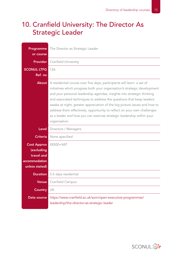#### 10. Cranfield University: The Director As Strategic Leader

| <b>Programme</b><br>or course                                                     | The Director as Strategic Leader                                                                                                                                                                                                                                                                                                                                                                                                                                                                                                                        |
|-----------------------------------------------------------------------------------|---------------------------------------------------------------------------------------------------------------------------------------------------------------------------------------------------------------------------------------------------------------------------------------------------------------------------------------------------------------------------------------------------------------------------------------------------------------------------------------------------------------------------------------------------------|
| <b>Provider</b>                                                                   | <b>Cranfield University</b>                                                                                                                                                                                                                                                                                                                                                                                                                                                                                                                             |
| <b>SCONUL LTFG</b><br>Ref. no                                                     | 126                                                                                                                                                                                                                                                                                                                                                                                                                                                                                                                                                     |
| <b>About</b>                                                                      | A residential course over five days, participants will learn: a set of<br>initiatives which progress both your organisation's strategic development<br>and your personal leadership agendas; insights into strategic thinking<br>and associated techniques to address the questions that keep leaders<br>awake at night; greater appreciation of the big picture issues and how to<br>address them effectively; opportunity to reflect on your own challenges<br>as a leader and how you can exercise strategic leadership within your<br>organisation. |
| <b>Level</b>                                                                      | Directors / Managers                                                                                                                                                                                                                                                                                                                                                                                                                                                                                                                                    |
| <b>Criteria</b>                                                                   | None specified                                                                                                                                                                                                                                                                                                                                                                                                                                                                                                                                          |
| <b>Cost Approx</b><br>(excluding<br>travel and<br>accommodation<br>unless stated) | £8300+VAT                                                                                                                                                                                                                                                                                                                                                                                                                                                                                                                                               |
| Duration                                                                          | 5.5 days residential                                                                                                                                                                                                                                                                                                                                                                                                                                                                                                                                    |
| <b>Venue</b>                                                                      | Cranfield Campus                                                                                                                                                                                                                                                                                                                                                                                                                                                                                                                                        |
| Country                                                                           | UK                                                                                                                                                                                                                                                                                                                                                                                                                                                                                                                                                      |
| Data source                                                                       | https://www.cranfield.ac.uk/som/open-executive-programmes/<br>leadership/the-director-as-strategic-leader                                                                                                                                                                                                                                                                                                                                                                                                                                               |

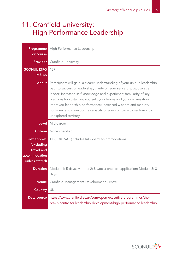#### 11. Cranfield University: High Performance Leadership

| Programme<br>or course                                                      | High Performance Leadership                                                                                                                                                                                                                                                                                                                                                                                                                                        |
|-----------------------------------------------------------------------------|--------------------------------------------------------------------------------------------------------------------------------------------------------------------------------------------------------------------------------------------------------------------------------------------------------------------------------------------------------------------------------------------------------------------------------------------------------------------|
|                                                                             | <b>Provider</b> Cranfield University                                                                                                                                                                                                                                                                                                                                                                                                                               |
| <b>SCONUL LTFG</b><br>Ref. no                                               | 127                                                                                                                                                                                                                                                                                                                                                                                                                                                                |
| <b>About</b>                                                                | Participants will gain: a clearer understanding of your unique leadership<br>path to successful leadership; clarity on your sense of purpose as a<br>leader; increased self-knowledge and experience; familiarity of key<br>practices for sustaining yourself, your teams and your organisation;<br>improved leadership performance; increased wisdom and maturity;<br>confidence to develop the capacity of your company to venture into<br>unexplored territory. |
| Level                                                                       | Mid-career                                                                                                                                                                                                                                                                                                                                                                                                                                                         |
| <b>Criteria</b>                                                             | None specified                                                                                                                                                                                                                                                                                                                                                                                                                                                     |
| Cost approx.<br>(excluding<br>travel and<br>accommodation<br>unless stated) | £12,230+VAT (includes full-board accommodation)                                                                                                                                                                                                                                                                                                                                                                                                                    |
| Duration                                                                    | Module 1: 5 days; Module 2: 8 weeks practical application; Module 3: 3<br>days                                                                                                                                                                                                                                                                                                                                                                                     |
| Venue                                                                       | Cranfield Management Development Centre                                                                                                                                                                                                                                                                                                                                                                                                                            |
| <b>Country</b>                                                              | UK                                                                                                                                                                                                                                                                                                                                                                                                                                                                 |
| Data source                                                                 | https://www.cranfield.ac.uk/som/open-executive-programmes/the-<br>praxis-centre-for-leadership-development/high-performance-leadership                                                                                                                                                                                                                                                                                                                             |

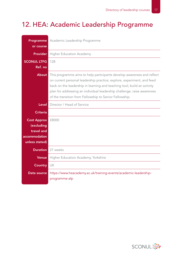### 12. HEA: Academic Leadership Programme

| Programme<br>or course                                                            | Academic Leadership Programme                                                                                                                                                                                                                                                                                                                                     |
|-----------------------------------------------------------------------------------|-------------------------------------------------------------------------------------------------------------------------------------------------------------------------------------------------------------------------------------------------------------------------------------------------------------------------------------------------------------------|
| <b>Provider</b>                                                                   | <b>Higher Education Academy</b>                                                                                                                                                                                                                                                                                                                                   |
| <b>SCONUL LTFG</b><br>Ref. no                                                     | 128                                                                                                                                                                                                                                                                                                                                                               |
| <b>About</b>                                                                      | This programme aims to help participants develop awareness and reflect<br>on current personal leadership practice; explore, experiment, and feed<br>back on the leadership in learning and teaching tool; build an activity<br>plan for addressing an individual leadership challenge; raise awareness<br>of the transition from Fellowship to Senior Fellowship. |
| Level                                                                             | Director / Head of Service                                                                                                                                                                                                                                                                                                                                        |
| <b>Criteria</b>                                                                   |                                                                                                                                                                                                                                                                                                                                                                   |
| <b>Cost Approx</b><br>(excluding<br>travel and<br>accommodation<br>unless stated) | £8000                                                                                                                                                                                                                                                                                                                                                             |
| <b>Duration</b>                                                                   | 21 weeks                                                                                                                                                                                                                                                                                                                                                          |
| <b>Venue</b>                                                                      | Higher Education Academy, Yorkshire                                                                                                                                                                                                                                                                                                                               |
| <b>Country</b>                                                                    | UK                                                                                                                                                                                                                                                                                                                                                                |
| Data source                                                                       | https://www.heacademy.ac.uk/training-events/academic-leadership-<br>programme-alp                                                                                                                                                                                                                                                                                 |

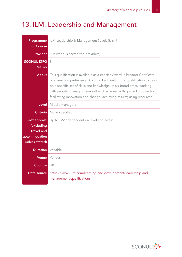### 13. ILM: Leadership and Management

| Programme<br>or Course                                                      | ILM Leadership & Management (levels 5, 6, 7)                                                                                                                                                                                                                                                                                                                                           |
|-----------------------------------------------------------------------------|----------------------------------------------------------------------------------------------------------------------------------------------------------------------------------------------------------------------------------------------------------------------------------------------------------------------------------------------------------------------------------------|
| <b>Provider</b>                                                             | ILM (various accredited providers)                                                                                                                                                                                                                                                                                                                                                     |
| <b>SCONUL LTFG</b><br>Ref. no                                               | 8                                                                                                                                                                                                                                                                                                                                                                                      |
| <b>About</b>                                                                | This qualification is available as a concise Award, a broader Certificate<br>or a very comprehensive Diploma. Each unit in this qualification focuses<br>on a specific set of skills and knowledge, in six broad areas: working<br>with people; managing yourself and personal skills; providing direction;<br>facilitating innovation and change; achieving results; using resources. |
| <b>Level</b>                                                                | Middle managers                                                                                                                                                                                                                                                                                                                                                                        |
| <b>Criteria</b>                                                             | None specified                                                                                                                                                                                                                                                                                                                                                                         |
| Cost approx.<br>(excluding<br>travel and<br>accommodation<br>unless stated) | Up to £229 dependent on level and award                                                                                                                                                                                                                                                                                                                                                |
| <b>Duration</b>                                                             | Variable                                                                                                                                                                                                                                                                                                                                                                               |
| <b>Venue</b>                                                                | Various                                                                                                                                                                                                                                                                                                                                                                                |
| Country                                                                     | UK                                                                                                                                                                                                                                                                                                                                                                                     |
| Data source                                                                 | https://www.i-l-m.com/learning-and-development/leadership-and-<br>management-qualifications                                                                                                                                                                                                                                                                                            |

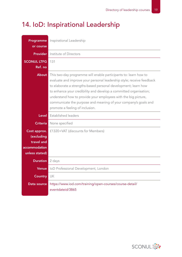### 14. IoD: Inspirational Leadership

| Programme<br>or course                                                      | Inspirational Leadership                                                                                                                                                                                                                                                                                                                                                                                                                                 |
|-----------------------------------------------------------------------------|----------------------------------------------------------------------------------------------------------------------------------------------------------------------------------------------------------------------------------------------------------------------------------------------------------------------------------------------------------------------------------------------------------------------------------------------------------|
| <b>Provider</b>                                                             | Institute of Directors                                                                                                                                                                                                                                                                                                                                                                                                                                   |
| <b>SCONUL LTFG</b><br>Ref. no                                               | 131                                                                                                                                                                                                                                                                                                                                                                                                                                                      |
| <b>About</b>                                                                | This two-day programme will enable participants to: learn how to<br>evaluate and improve your personal leadership style; receive feedback<br>to elaborate a strengths-based personal development; learn how<br>to enhance your credibility and develop a committed organisation;<br>understand how to provide your employees with the big picture,<br>communicate the purpose and meaning of your company's goals and<br>promote a feeling of inclusion. |
| Level                                                                       | Established leaders                                                                                                                                                                                                                                                                                                                                                                                                                                      |
| <b>Criteria</b>                                                             | None specified                                                                                                                                                                                                                                                                                                                                                                                                                                           |
| Cost approx.<br>(excluding<br>travel and<br>accommodation<br>unless stated) | £1320+VAT (discounts for Members)                                                                                                                                                                                                                                                                                                                                                                                                                        |
| <b>Duration</b>                                                             | 2 days                                                                                                                                                                                                                                                                                                                                                                                                                                                   |
| <b>Venue</b>                                                                | IoD Professional Development, London                                                                                                                                                                                                                                                                                                                                                                                                                     |
| <b>Country</b>                                                              | UK                                                                                                                                                                                                                                                                                                                                                                                                                                                       |
| Data source                                                                 | https://www.iod.com/training/open-courses/course-detail/<br>eventdateid/3865                                                                                                                                                                                                                                                                                                                                                                             |

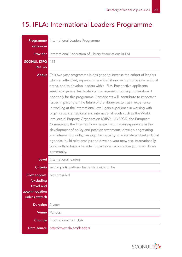### 15. IFLA: International Leaders Programme

| Programme<br>or course                                                      | International Leaders Programme                                                                                                                                                                                                                                                                                                                                                                                                                                                                                                                                                                                                                                                                                                                                                                                                                                                                                                                                                                                                                                         |
|-----------------------------------------------------------------------------|-------------------------------------------------------------------------------------------------------------------------------------------------------------------------------------------------------------------------------------------------------------------------------------------------------------------------------------------------------------------------------------------------------------------------------------------------------------------------------------------------------------------------------------------------------------------------------------------------------------------------------------------------------------------------------------------------------------------------------------------------------------------------------------------------------------------------------------------------------------------------------------------------------------------------------------------------------------------------------------------------------------------------------------------------------------------------|
| <b>Provider</b>                                                             | International Federation of Library Associations (IFLA)                                                                                                                                                                                                                                                                                                                                                                                                                                                                                                                                                                                                                                                                                                                                                                                                                                                                                                                                                                                                                 |
| <b>SCONUL LTFG</b><br>Ref. no                                               | 151                                                                                                                                                                                                                                                                                                                                                                                                                                                                                                                                                                                                                                                                                                                                                                                                                                                                                                                                                                                                                                                                     |
| <b>About</b>                                                                | This two-year programme is designed to increase the cohort of leaders<br>who can effectively represent the wider library sector in the international<br>arena, and to develop leaders within IFLA. Prospective applicants<br>seeking a general leadership or management training course should<br>not apply for this programme. Participants will: contribute to important<br>issues impacting on the future of the library sector; gain experience<br>in working at the international level; gain experience in working with<br>organisations at regional and international levels such as the World<br>Intellectual Property Organisation (WIPO), UNESCO, the European<br>Commission, the Internet Governance Forum; gain experience in the<br>development of policy and position statements; develop negotiating<br>and intervention skills; develop the capacity to advocate and set political<br>agendas; build relationships and develop your networks internationally;<br>build skills to have a broader impact as an advocate in your own library<br>community. |
| Level                                                                       | International leaders                                                                                                                                                                                                                                                                                                                                                                                                                                                                                                                                                                                                                                                                                                                                                                                                                                                                                                                                                                                                                                                   |
| <b>Criteria</b>                                                             | Active participation / leadership within IFLA                                                                                                                                                                                                                                                                                                                                                                                                                                                                                                                                                                                                                                                                                                                                                                                                                                                                                                                                                                                                                           |
| Cost approx.<br>(excluding<br>travel and<br>accommodation<br>unless stated) | Not provided                                                                                                                                                                                                                                                                                                                                                                                                                                                                                                                                                                                                                                                                                                                                                                                                                                                                                                                                                                                                                                                            |
| <b>Duration</b>                                                             | 2 years                                                                                                                                                                                                                                                                                                                                                                                                                                                                                                                                                                                                                                                                                                                                                                                                                                                                                                                                                                                                                                                                 |
| <b>Venue</b>                                                                | Various                                                                                                                                                                                                                                                                                                                                                                                                                                                                                                                                                                                                                                                                                                                                                                                                                                                                                                                                                                                                                                                                 |
| <b>Country</b>                                                              | International incl. USA                                                                                                                                                                                                                                                                                                                                                                                                                                                                                                                                                                                                                                                                                                                                                                                                                                                                                                                                                                                                                                                 |
| Data source                                                                 | http://www.ifla.org/leaders                                                                                                                                                                                                                                                                                                                                                                                                                                                                                                                                                                                                                                                                                                                                                                                                                                                                                                                                                                                                                                             |

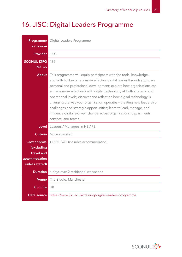### 16. JISC: Digital Leaders Programme

| Programme<br>or course                                                      | Digital Leaders Programme                                                                                                                                                                                                                                                                                                                                                                                                                                                                                                                                                                                            |
|-----------------------------------------------------------------------------|----------------------------------------------------------------------------------------------------------------------------------------------------------------------------------------------------------------------------------------------------------------------------------------------------------------------------------------------------------------------------------------------------------------------------------------------------------------------------------------------------------------------------------------------------------------------------------------------------------------------|
| <b>Provider</b>                                                             | <b>JISC</b>                                                                                                                                                                                                                                                                                                                                                                                                                                                                                                                                                                                                          |
| <b>SCONUL LTFG</b><br>Ref. no                                               | 132                                                                                                                                                                                                                                                                                                                                                                                                                                                                                                                                                                                                                  |
| About                                                                       | This programme will equip participants with the tools, knowledge,<br>and skills to: become a more effective digital leader through your own<br>personal and professional development; explore how organisations can<br>engage more effectively with digital technology at both strategic and<br>operational levels; discover and reflect on how digital technology is<br>changing the way your organisation operates - creating new leadership<br>challenges and strategic opportunities; learn to lead, manage, and<br>influence digitally-driven change across organisations, departments,<br>services, and teams. |
| Level                                                                       | Leaders / Managers in HE / FE                                                                                                                                                                                                                                                                                                                                                                                                                                                                                                                                                                                        |
| <b>Criteria</b>                                                             | None specified                                                                                                                                                                                                                                                                                                                                                                                                                                                                                                                                                                                                       |
| Cost approx.<br>(excluding<br>travel and<br>accommodation<br>unless stated) | £1665+VAT (includes accommodation)                                                                                                                                                                                                                                                                                                                                                                                                                                                                                                                                                                                   |
|                                                                             | <b>Duration</b> 4 days over 2 residential workshops                                                                                                                                                                                                                                                                                                                                                                                                                                                                                                                                                                  |
| Venue                                                                       | The Studio, Manchester                                                                                                                                                                                                                                                                                                                                                                                                                                                                                                                                                                                               |
| <b>Country</b>                                                              | UK                                                                                                                                                                                                                                                                                                                                                                                                                                                                                                                                                                                                                   |
| Data source                                                                 | https://www.jisc.ac.uk/training/digital-leaders-programme                                                                                                                                                                                                                                                                                                                                                                                                                                                                                                                                                            |

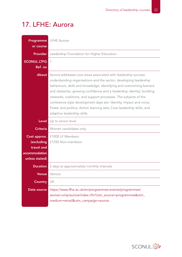#### 17. LFHE: Aurora

| or course                                                     | <b>Programme</b> LFHE Aurora                                                                                                                                                                                                                                                                                                                                                                                                                                                                                                             |
|---------------------------------------------------------------|------------------------------------------------------------------------------------------------------------------------------------------------------------------------------------------------------------------------------------------------------------------------------------------------------------------------------------------------------------------------------------------------------------------------------------------------------------------------------------------------------------------------------------------|
| <b>Provider</b>                                               | Leadership Foundation for Higher Education                                                                                                                                                                                                                                                                                                                                                                                                                                                                                               |
| <b>SCONUL LTFG</b><br>Ref. no                                 | 1                                                                                                                                                                                                                                                                                                                                                                                                                                                                                                                                        |
| About                                                         | Aurora addresses core areas associated with leadership success:<br>understanding organisations and the sector; developing leadership<br>behaviours, skills and knowledge; identifying and overcoming barriers<br>and obstacles; growing confidence and a leadership identity; building<br>networks, coalitions, and support processes. The subjects of the<br>conference style development days are: Identity, Impact and voice;<br>Power and politics; Action learning sets; Core leadership skills; and<br>adaptive leadership skills. |
| Level                                                         | Up to senior level                                                                                                                                                                                                                                                                                                                                                                                                                                                                                                                       |
| <b>Criteria</b>                                               | Women candidates only                                                                                                                                                                                                                                                                                                                                                                                                                                                                                                                    |
| Cost approx.<br>travel and<br>accommodation<br>unless stated) | £1000 LF Members<br>(excluding £1250 Non-members                                                                                                                                                                                                                                                                                                                                                                                                                                                                                         |
| <b>Duration</b>                                               | 5 days at approximately monthly intervals                                                                                                                                                                                                                                                                                                                                                                                                                                                                                                |
| Venue                                                         | Various                                                                                                                                                                                                                                                                                                                                                                                                                                                                                                                                  |
| <b>Country</b>                                                | UK                                                                                                                                                                                                                                                                                                                                                                                                                                                                                                                                       |
| Data source                                                   | https://www.lfhe.ac.uk/en/programmes-events/programmes/<br>women-only/aurora/index.cfm?utm_source=programmes&utm_<br>medium=email&utm_campaign=aurora                                                                                                                                                                                                                                                                                                                                                                                    |

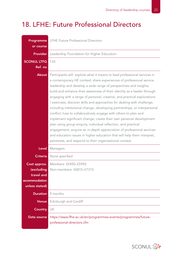#### 18. LFHE: Future Professional Directors

| Programme<br>or course                                                      | LFHE Future Professional Directors                                                                                                                                                                                                                                                                                                                                                                                                                                                                                                                                                                                                                                                                                                                                                                                                                                                                                                                              |
|-----------------------------------------------------------------------------|-----------------------------------------------------------------------------------------------------------------------------------------------------------------------------------------------------------------------------------------------------------------------------------------------------------------------------------------------------------------------------------------------------------------------------------------------------------------------------------------------------------------------------------------------------------------------------------------------------------------------------------------------------------------------------------------------------------------------------------------------------------------------------------------------------------------------------------------------------------------------------------------------------------------------------------------------------------------|
| <b>Provider</b>                                                             | Leadership Foundation for Higher Education                                                                                                                                                                                                                                                                                                                                                                                                                                                                                                                                                                                                                                                                                                                                                                                                                                                                                                                      |
| <b>SCONUL LTFG</b><br>Ref. no                                               | 133                                                                                                                                                                                                                                                                                                                                                                                                                                                                                                                                                                                                                                                                                                                                                                                                                                                                                                                                                             |
| <b>About</b>                                                                | Participants will: explore what it means to lead professional services in<br>a contemporary HE context; share experiences of professional service<br>leadership and develop a wide range of perspectives and insights;<br>build and enhance their awareness of their identity as a leader through<br>engaging with a range of personal, creative, and practical explorations<br>/ exercises; discover skills and approaches for dealing with challenge,<br>including institutional change, developing partnerships, or interpersonal<br>conflict; how to collaboratively engage with others to plan and<br>implement significant change; create their own personal development<br>plan using group enquiry, individual reflection, and practical<br>engagement; acquire an in-depth appreciation of professional services<br>and education issues in higher education that will help them interpret,<br>penetrate, and respond to their organisational context. |
| Level                                                                       | Managers                                                                                                                                                                                                                                                                                                                                                                                                                                                                                                                                                                                                                                                                                                                                                                                                                                                                                                                                                        |
| <b>Criteria</b>                                                             | None specified                                                                                                                                                                                                                                                                                                                                                                                                                                                                                                                                                                                                                                                                                                                                                                                                                                                                                                                                                  |
| Cost approx.<br>(excluding<br>travel and<br>accommodation<br>unless stated) | Members: £5450-£5950<br>Non-members: £6815-£7315                                                                                                                                                                                                                                                                                                                                                                                                                                                                                                                                                                                                                                                                                                                                                                                                                                                                                                                |
| <b>Duration</b>                                                             | 9 months                                                                                                                                                                                                                                                                                                                                                                                                                                                                                                                                                                                                                                                                                                                                                                                                                                                                                                                                                        |
| <b>Venue</b>                                                                | Edinburgh and Cardiff                                                                                                                                                                                                                                                                                                                                                                                                                                                                                                                                                                                                                                                                                                                                                                                                                                                                                                                                           |
| <b>Country</b>                                                              | UK                                                                                                                                                                                                                                                                                                                                                                                                                                                                                                                                                                                                                                                                                                                                                                                                                                                                                                                                                              |
| Data source                                                                 | https://www.lfhe.ac.uk/en/programmes-events/programmes/future-<br>professional-directors.cfm                                                                                                                                                                                                                                                                                                                                                                                                                                                                                                                                                                                                                                                                                                                                                                                                                                                                    |

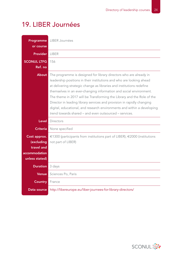#### 19. LIBER Journées

| Programme<br>or course                                                      | LIBER Journées                                                                                                                                                                                                                                                                                                                                                                                                                                                                                                                                                                     |
|-----------------------------------------------------------------------------|------------------------------------------------------------------------------------------------------------------------------------------------------------------------------------------------------------------------------------------------------------------------------------------------------------------------------------------------------------------------------------------------------------------------------------------------------------------------------------------------------------------------------------------------------------------------------------|
| <b>Provider</b>                                                             | <b>I IBFR</b>                                                                                                                                                                                                                                                                                                                                                                                                                                                                                                                                                                      |
| <b>SCONUL LTFG</b><br>Ref. no                                               | 156                                                                                                                                                                                                                                                                                                                                                                                                                                                                                                                                                                                |
| <b>About</b>                                                                | The programme is designed for library directors who are already in<br>leadership positions in their institutions and who are looking ahead<br>at delivering strategic change as libraries and institutions redefine<br>themselves in an ever-changing information and social environment.<br>The theme in 2017 will be Transforming the Library and the Role of the<br>Director in leading library services and provision in rapidly changing<br>digital, educational, and research environments and within a developing<br>trend towards shared - and even outsourced - services. |
| <b>Level</b>                                                                | <b>Directors</b>                                                                                                                                                                                                                                                                                                                                                                                                                                                                                                                                                                   |
| <b>Criteria</b>                                                             | None specified                                                                                                                                                                                                                                                                                                                                                                                                                                                                                                                                                                     |
| Cost approx.<br>(excluding<br>travel and<br>accommodation<br>unless stated) | €1300 (participants from institutions part of LIBER); $€2000$ (institutions<br>not part of LIBER)                                                                                                                                                                                                                                                                                                                                                                                                                                                                                  |
| <b>Duration</b>                                                             | 3 days                                                                                                                                                                                                                                                                                                                                                                                                                                                                                                                                                                             |
| <b>Venue</b>                                                                | Sciences Po, Paris                                                                                                                                                                                                                                                                                                                                                                                                                                                                                                                                                                 |
| <b>Country</b>                                                              | France                                                                                                                                                                                                                                                                                                                                                                                                                                                                                                                                                                             |
| Data source                                                                 | http://libereurope.eu/liber-journees-for-library-directors/                                                                                                                                                                                                                                                                                                                                                                                                                                                                                                                        |

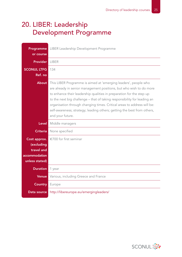#### 20. LIBER: Leadership Development Programme

| Programme                                                                   | LIBER Leadership Development Programme                                                                                                                                                                                                                                                                                                                                                                                                                               |
|-----------------------------------------------------------------------------|----------------------------------------------------------------------------------------------------------------------------------------------------------------------------------------------------------------------------------------------------------------------------------------------------------------------------------------------------------------------------------------------------------------------------------------------------------------------|
| or course                                                                   |                                                                                                                                                                                                                                                                                                                                                                                                                                                                      |
| <b>Provider</b>                                                             | <b>LIBER</b>                                                                                                                                                                                                                                                                                                                                                                                                                                                         |
| <b>SCONUL LTFG</b><br>Ref. no                                               | 134                                                                                                                                                                                                                                                                                                                                                                                                                                                                  |
| <b>About</b>                                                                | This LIBER Programme is aimed at 'emerging leaders', people who<br>are already in senior management positions, but who wish to do more<br>to enhance their leadership qualities in preparation for the step up<br>to the next big challenge - that of taking responsibility for leading an<br>organisation through changing times. Critical areas to address will be:<br>self-awareness; strategy; leading others; getting the best from others,<br>and your future. |
| <b>Level</b>                                                                | Middle managers                                                                                                                                                                                                                                                                                                                                                                                                                                                      |
| <b>Criteria</b>                                                             | None specified                                                                                                                                                                                                                                                                                                                                                                                                                                                       |
| Cost approx.<br>(excluding<br>travel and<br>accommodation<br>unless stated) | €700 for first seminar                                                                                                                                                                                                                                                                                                                                                                                                                                               |
|                                                                             |                                                                                                                                                                                                                                                                                                                                                                                                                                                                      |
| <b>Duration</b>                                                             | 1 year                                                                                                                                                                                                                                                                                                                                                                                                                                                               |
| <b>Venue</b>                                                                | Various, including Greece and France                                                                                                                                                                                                                                                                                                                                                                                                                                 |
| <b>Country</b>                                                              | Europe                                                                                                                                                                                                                                                                                                                                                                                                                                                               |

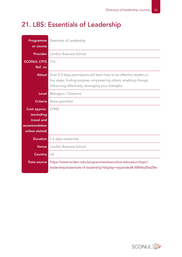### 21. LBS: Essentials of Leadership

| or course                                                                   | <b>Programme</b> Essentials of Leadership                                                                                                                                                      |
|-----------------------------------------------------------------------------|------------------------------------------------------------------------------------------------------------------------------------------------------------------------------------------------|
| <b>Provider</b>                                                             | London Business School                                                                                                                                                                         |
| <b>SCONUL LTFG</b><br>Ref. no                                               | 135                                                                                                                                                                                            |
| <b>About</b>                                                                | Over 5.5 days participants will learn how to be effective leaders in<br>five steps: finding purpose; empowering others; enabling change;<br>influencing effectively; leveraging your strengths |
| Level                                                                       | Managers / Directors                                                                                                                                                                           |
| <b>Criteria</b>                                                             | None specified                                                                                                                                                                                 |
| Cost approx.<br>(excluding<br>travel and<br>accommodation<br>unless stated) | £7900                                                                                                                                                                                          |
| Duration                                                                    | 5.5 days residential                                                                                                                                                                           |
| <b>Venue</b>                                                                | London Business School                                                                                                                                                                         |
| <b>Country</b>                                                              | UK                                                                                                                                                                                             |
| Data source                                                                 | https://www.london.edu/programmes/executive-education/topic/<br>leadership/essentials-of-leadership?display=expanded#.WW4wjf5wZ8w                                                              |

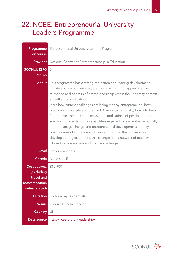#### 22. NCEE: Entrepreneurial University Leaders Programme

| Programme<br>or course                                                      | Entrepreneurial University Leaders Programme                                                                                                                                                                                                                                                                                                                                                                                                                                                                                                                                                                                                                                                                                                                                                                                      |
|-----------------------------------------------------------------------------|-----------------------------------------------------------------------------------------------------------------------------------------------------------------------------------------------------------------------------------------------------------------------------------------------------------------------------------------------------------------------------------------------------------------------------------------------------------------------------------------------------------------------------------------------------------------------------------------------------------------------------------------------------------------------------------------------------------------------------------------------------------------------------------------------------------------------------------|
| <b>Provider</b>                                                             | National Centre for Entrepreneurship in Education                                                                                                                                                                                                                                                                                                                                                                                                                                                                                                                                                                                                                                                                                                                                                                                 |
| <b>SCONUL LTFG</b><br>Ref. no                                               | 5                                                                                                                                                                                                                                                                                                                                                                                                                                                                                                                                                                                                                                                                                                                                                                                                                                 |
| About                                                                       | This programme has a strong reputation as a leading development<br>initiative for senior university personnel wishing to: appreciate the<br>relevance and benefits of entrepreneurship within the university context,<br>as well as its application;<br>learn how current challenges are being met by entrepreneurial best<br>practice at universities across the UK and internationally; look into likely<br>future developments and analyse the implications of possible future<br>scenarios; understand the capabilities required to lead entrepreneurially<br>and to manage change and entrepreneurial development; identify<br>possible areas for change and innovation within their university and<br>develop strategies to effect this change; join a network of peers with<br>whom to share success and discuss challenge |
| Level                                                                       | Senior managers                                                                                                                                                                                                                                                                                                                                                                                                                                                                                                                                                                                                                                                                                                                                                                                                                   |
| <b>Criteria</b>                                                             | None specified                                                                                                                                                                                                                                                                                                                                                                                                                                                                                                                                                                                                                                                                                                                                                                                                                    |
| Cost approx.<br>(excluding<br>travel and<br>accommodation<br>unless stated) | £10,900                                                                                                                                                                                                                                                                                                                                                                                                                                                                                                                                                                                                                                                                                                                                                                                                                           |
| <b>Duration</b>                                                             | 3 x four-day residentials                                                                                                                                                                                                                                                                                                                                                                                                                                                                                                                                                                                                                                                                                                                                                                                                         |
| <b>Venue</b>                                                                | Oxford, Lincoln, London                                                                                                                                                                                                                                                                                                                                                                                                                                                                                                                                                                                                                                                                                                                                                                                                           |
| <b>Country</b>                                                              | UK                                                                                                                                                                                                                                                                                                                                                                                                                                                                                                                                                                                                                                                                                                                                                                                                                                |
| Data source                                                                 | http://ncee.org.uk/leadership/                                                                                                                                                                                                                                                                                                                                                                                                                                                                                                                                                                                                                                                                                                                                                                                                    |

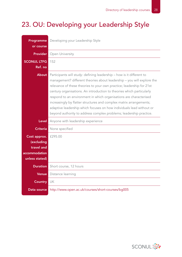### 23. OU: Developing your Leadership Style

| Programme<br>or course                                                      | Developing your Leadership Style                                                                                                                                                                                                                                                                                                                                                                                                                                                                                                                                                             |
|-----------------------------------------------------------------------------|----------------------------------------------------------------------------------------------------------------------------------------------------------------------------------------------------------------------------------------------------------------------------------------------------------------------------------------------------------------------------------------------------------------------------------------------------------------------------------------------------------------------------------------------------------------------------------------------|
| <b>Provider</b>                                                             | Open University                                                                                                                                                                                                                                                                                                                                                                                                                                                                                                                                                                              |
| <b>SCONUL LTFG</b><br>Ref. no                                               | 152                                                                                                                                                                                                                                                                                                                                                                                                                                                                                                                                                                                          |
| <b>About</b>                                                                | Participants will study: defining leadership - how is it different to<br>management? different theories about leadership - you will explore the<br>relevance of these theories to your own practice; leadership for 21st<br>century organisations. An introduction to theories which particularly<br>respond to an environment in which organisations are characterised<br>increasingly by flatter structures and complex matrix arrangements;<br>adaptive leadership which focuses on how individuals lead without or<br>beyond authority to address complex problems; leadership practice. |
| <b>Level</b>                                                                | Anyone with leadership experience                                                                                                                                                                                                                                                                                                                                                                                                                                                                                                                                                            |
| <b>Criteria</b>                                                             | None specified                                                                                                                                                                                                                                                                                                                                                                                                                                                                                                                                                                               |
| Cost approx.<br>(excluding<br>travel and<br>accommodation<br>unless stated) | £295.00                                                                                                                                                                                                                                                                                                                                                                                                                                                                                                                                                                                      |
| <b>Duration</b>                                                             | Short course, 12 hours                                                                                                                                                                                                                                                                                                                                                                                                                                                                                                                                                                       |
| <b>Venue</b>                                                                | Distance learning                                                                                                                                                                                                                                                                                                                                                                                                                                                                                                                                                                            |
| <b>Country</b>                                                              | UK                                                                                                                                                                                                                                                                                                                                                                                                                                                                                                                                                                                           |
| Data source                                                                 | http://www.open.ac.uk/courses/short-courses/bg005                                                                                                                                                                                                                                                                                                                                                                                                                                                                                                                                            |

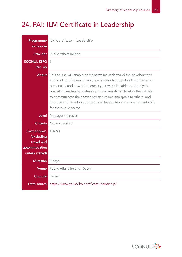## 24. PAI: ILM Certificate in Leadership

| Programme<br>or course                                                      | ILM Certificate in Leadership                                                                                                                                                                                                                                                                                                                                                                                                                                         |
|-----------------------------------------------------------------------------|-----------------------------------------------------------------------------------------------------------------------------------------------------------------------------------------------------------------------------------------------------------------------------------------------------------------------------------------------------------------------------------------------------------------------------------------------------------------------|
| <b>Provider</b>                                                             | Public Affairs Ireland                                                                                                                                                                                                                                                                                                                                                                                                                                                |
| <b>SCONUL LTFG</b><br>Ref. no                                               | 9                                                                                                                                                                                                                                                                                                                                                                                                                                                                     |
| <b>About</b>                                                                | This course will enable participants to: understand the development<br>and leading of teams; develop an in-depth understanding of your own<br>personality and how it influences your work; be able to identify the<br>prevailing leadership styles in your organisation; develop their ability<br>to communicate their organisation's values and goals to others; and<br>improve and develop your personal leadership and management skills<br>for the public sector. |
| <b>Level</b>                                                                | Manager / director                                                                                                                                                                                                                                                                                                                                                                                                                                                    |
| <b>Criteria</b>                                                             | None specified                                                                                                                                                                                                                                                                                                                                                                                                                                                        |
| Cost approx.<br>(excluding<br>travel and<br>accommodation<br>unless stated) | €1650                                                                                                                                                                                                                                                                                                                                                                                                                                                                 |
| <b>Duration</b>                                                             | 3 days                                                                                                                                                                                                                                                                                                                                                                                                                                                                |
| Venue                                                                       | Public Affairs Ireland, Dublin                                                                                                                                                                                                                                                                                                                                                                                                                                        |
| <b>Country</b>                                                              | Ireland                                                                                                                                                                                                                                                                                                                                                                                                                                                               |
| Data source                                                                 | https://www.pai.ie/ilm-certificate-leadership/                                                                                                                                                                                                                                                                                                                                                                                                                        |

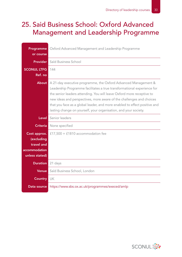#### 25. Said Business School: Oxford Advanced Management and Leadership Programme

| Programme                  | Oxford Advanced Management and Leadership Programme                                                                                                                                                                                                                                                                                                                                                                                         |
|----------------------------|---------------------------------------------------------------------------------------------------------------------------------------------------------------------------------------------------------------------------------------------------------------------------------------------------------------------------------------------------------------------------------------------------------------------------------------------|
| or course                  |                                                                                                                                                                                                                                                                                                                                                                                                                                             |
| <b>Provider</b>            | Saïd Business School                                                                                                                                                                                                                                                                                                                                                                                                                        |
| <b>SCONUL LTFG</b>         | 144                                                                                                                                                                                                                                                                                                                                                                                                                                         |
| Ref. no                    |                                                                                                                                                                                                                                                                                                                                                                                                                                             |
| About                      | A 21-day executive programme, the Oxford Advanced Management &<br>Leadership Programme facilitates a true transformational experience for<br>the senior leaders attending. You will leave Oxford more receptive to<br>new ideas and perspectives, more aware of the challenges and choices<br>that you face as a global leader, and more enabled to effect positive and<br>lasting change on yourself, your organisation, and your society. |
| Level                      | Senior leaders                                                                                                                                                                                                                                                                                                                                                                                                                              |
| <b>Criteria</b>            | None specified                                                                                                                                                                                                                                                                                                                                                                                                                              |
| Cost approx.<br>(excluding | £17,500 + £1810 accommodation fee                                                                                                                                                                                                                                                                                                                                                                                                           |
| travel and                 |                                                                                                                                                                                                                                                                                                                                                                                                                                             |
| accommodation              |                                                                                                                                                                                                                                                                                                                                                                                                                                             |
| unless stated)             |                                                                                                                                                                                                                                                                                                                                                                                                                                             |
| Duration                   | 21 days                                                                                                                                                                                                                                                                                                                                                                                                                                     |
| <b>Venue</b>               | Saïd Business School, London                                                                                                                                                                                                                                                                                                                                                                                                                |
| <b>Country</b>             | UK                                                                                                                                                                                                                                                                                                                                                                                                                                          |
| Data source                | https://www.sbs.ox.ac.uk/programmes/execed/amlp                                                                                                                                                                                                                                                                                                                                                                                             |

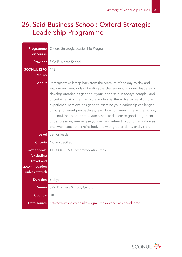#### 26. Said Business School: Oxford Strategic Leadership Programme

| Programme<br>or course                                                      | Oxford Strategic Leadership Programme                                                                                                                                                                                                                                                                                                                                                                                                                                                                                                                                                                                                                                      |
|-----------------------------------------------------------------------------|----------------------------------------------------------------------------------------------------------------------------------------------------------------------------------------------------------------------------------------------------------------------------------------------------------------------------------------------------------------------------------------------------------------------------------------------------------------------------------------------------------------------------------------------------------------------------------------------------------------------------------------------------------------------------|
| <b>Provider</b>                                                             | Saïd Business School                                                                                                                                                                                                                                                                                                                                                                                                                                                                                                                                                                                                                                                       |
| <b>SCONUL LTFG</b><br>Ref. no                                               | 143                                                                                                                                                                                                                                                                                                                                                                                                                                                                                                                                                                                                                                                                        |
| <b>About</b>                                                                | Participants will: step back from the pressure of the day-to-day and<br>explore new methods of tackling the challenges of modern leadership;<br>develop broader insight about your leadership in today's complex and<br>uncertain environment; explore leadership through a series of unique<br>experiential sessions designed to examine your leadership challenges<br>through different perspectives; learn how to harness intellect, emotion,<br>and intuition to better motivate others and exercise good judgement<br>under pressure; re-energise yourself and return to your organisation as<br>one who leads others refreshed, and with greater clarity and vision. |
| Level I                                                                     | Senior leader                                                                                                                                                                                                                                                                                                                                                                                                                                                                                                                                                                                                                                                              |
| <b>Criteria</b>                                                             | None specified                                                                                                                                                                                                                                                                                                                                                                                                                                                                                                                                                                                                                                                             |
| Cost approx.<br>(excluding<br>travel and<br>accommodation<br>unless stated) | £12,000 + £600 accommodation fees                                                                                                                                                                                                                                                                                                                                                                                                                                                                                                                                                                                                                                          |
| <b>Duration</b> 6 days                                                      |                                                                                                                                                                                                                                                                                                                                                                                                                                                                                                                                                                                                                                                                            |
| <b>Venue</b>                                                                | Saïd Business School, Oxford                                                                                                                                                                                                                                                                                                                                                                                                                                                                                                                                                                                                                                               |
| <b>Country</b>                                                              | UK                                                                                                                                                                                                                                                                                                                                                                                                                                                                                                                                                                                                                                                                         |
| Data source                                                                 | http://www.sbs.ox.ac.uk/programmes/execed/oslp/welcome                                                                                                                                                                                                                                                                                                                                                                                                                                                                                                                                                                                                                     |

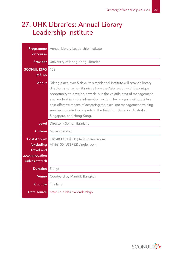### 27. UHK Libraries: Annual Library Leadership Institute

| Programme<br>or course                                                            | Annual Library Leadership Institute                                                                                                                                                                                                                                                                                                                                                                                                                                         |
|-----------------------------------------------------------------------------------|-----------------------------------------------------------------------------------------------------------------------------------------------------------------------------------------------------------------------------------------------------------------------------------------------------------------------------------------------------------------------------------------------------------------------------------------------------------------------------|
|                                                                                   |                                                                                                                                                                                                                                                                                                                                                                                                                                                                             |
| <b>Provider</b>                                                                   | University of Hong Kong Libraries                                                                                                                                                                                                                                                                                                                                                                                                                                           |
| <b>SCONUL LTFG</b>                                                                | 153                                                                                                                                                                                                                                                                                                                                                                                                                                                                         |
| Ref. no                                                                           |                                                                                                                                                                                                                                                                                                                                                                                                                                                                             |
| <b>About</b>                                                                      | Taking place over 5 days, this residential Institute will provide library<br>directors and senior librarians from the Asia region with the unique<br>opportunity to develop new skills in the volatile area of management<br>and leadership in the information sector. The program will provide a<br>cost-effective means of accessing the excellent management training<br>services provided by experts in the field from America, Australia,<br>Singapore, and Hong Kong. |
| Level                                                                             | Director / Senior librarians                                                                                                                                                                                                                                                                                                                                                                                                                                                |
| <b>Criteria</b>                                                                   | None specified                                                                                                                                                                                                                                                                                                                                                                                                                                                              |
| <b>Cost Approx</b><br>(excluding<br>travel and<br>accommodation<br>unless stated) | HK\$4800 (US\$615) twin shared room<br>HK\$6100 (US\$782) single room                                                                                                                                                                                                                                                                                                                                                                                                       |
| <b>Duration</b>                                                                   | 5 days                                                                                                                                                                                                                                                                                                                                                                                                                                                                      |
| <b>Venue</b>                                                                      | Courtyard by Marriot, Bangkok                                                                                                                                                                                                                                                                                                                                                                                                                                               |
| <b>Country</b>                                                                    | Thailand                                                                                                                                                                                                                                                                                                                                                                                                                                                                    |
| Data source                                                                       | https://lib.hku.hk/leadership/                                                                                                                                                                                                                                                                                                                                                                                                                                              |